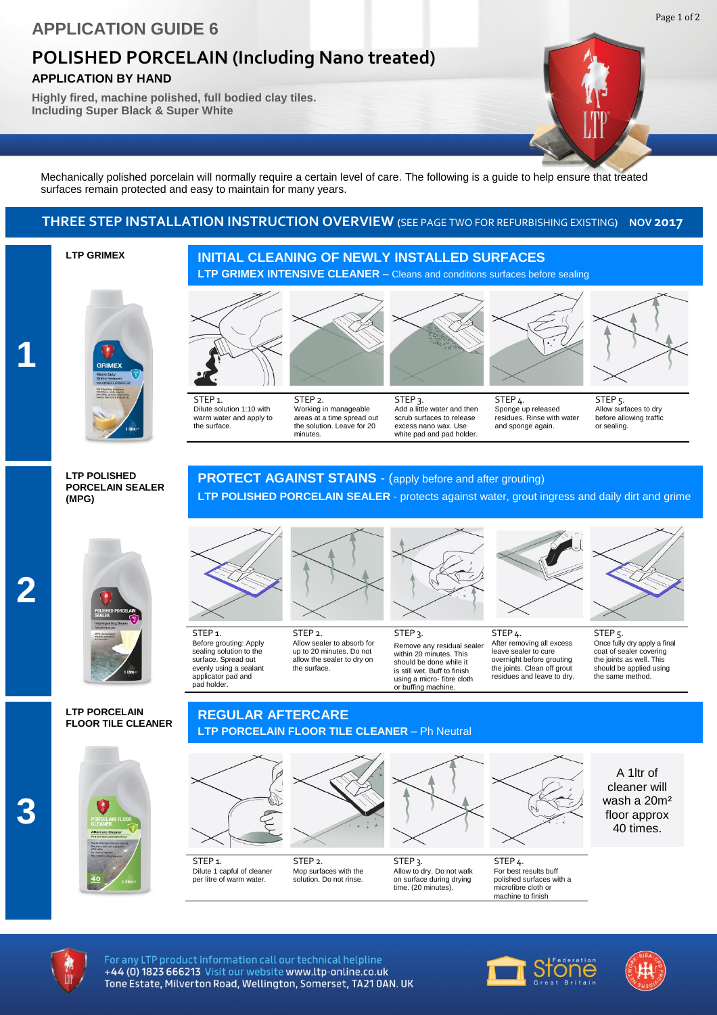## **POLISHED PORCELAIN (Including Nano treated)**

**APPLICATION BY HAND**

**Highly fired, machine polished, full bodied clay tiles. Including Super Black & Super White**

Mechanically polished porcelain will normally require a certain level of care. The following is a guide to help ensure that treated surfaces remain protected and easy to maintain for many years.

### **THREE STEP INSTALLATION INSTRUCTION OVERVIEW (**SEE PAGE TWO FOR REFURBISHING EXISTING**) NOV 2017**

### **LTP GRIMEX**

# **LTP GRIMEX INTENSIVE CLEANER** – Cleans and conditions surfaces before sealing

**INITIAL CLEANING OF NEWLY INSTALLED SURFACES**





STEP 1. Dilute solution 1:10 with warm water and apply to the surface.

STEP<sub>1</sub>. Before grouting: Apply sealing solution to the surface. Spread out evenly using a sealant<br>applicator pad and cator pad and

pad holder.

STEP 2.

Working in manageable areas at a time spread out the solution. Leave for 20 minutes.



Add a little water and then scrub surfaces to release white pad and pad holder STEP 4. Sponge up released residues. Rinse with water and sponge again.



STEP<sub>5</sub>. Allow surfaces to dry before allowing traffic or sealing.

### **LTP POLISHED PORCELAIN SEALER (MPG)**





### **LTP PORCELAIN FLOOR TILE CLEANER**



### **PROTECT AGAINST STAINS** - (apply before and after grouting) **LTP POLISHED PORCELAIN SEALER** - protects against water, grout ingress and daily dirt and grime

excess nano wax. Use

STEP<sub>3</sub>.



STEP 2. Allow sealer to absorb for up to 20 minutes. Do not allow the sealer to dry on the surface.



STEP<sub>3</sub>. Remove any residual sealer within 20 minutes. This should be done while it is still wet. Buff to finish using a micro- fibre cloth or buffing machine.



STEP 4. After removing all excess leave sealer to cure overnight before grouting the joints. Clean off grout residues and leave to dry.



STEP 5. Once fully dry apply a final coat of sealer covering the joints as well. This should be applied using the same method.

### **REGULAR AFTERCARE LTP PORCELAIN FLOOR TILE CLEANER** – Ph Neutral

solution. Do not rinse.



time. (20 minutes).

For best results buff polished surfaces with a microfibre cloth or machine to finish

A 1ltr of cleaner will wash a 20m² floor approx 40 times.



For any LTP product information call our technical helpline +44 (0) 1823 666213 Visit our website www.ltp-online.co.uk Tone Estate, Milverton Road, Wellington, Somerset, TA21 0AN. UK

per litre of warm water





Page 1 of 2

**3**

**2**

**1**